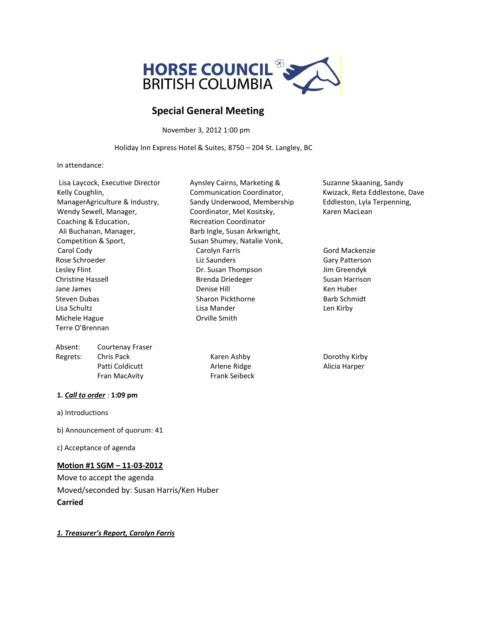

# **Special General Meeting**

November 3, 2012 1:00 pm

Holiday Inn Express Hotel & Suites, 8750 – 204 St. Langley, BC

In attendance:

| Lisa Laycock, Executive Director | Aynsley Cairns, Marketing &   | Suzanne Skaani      |
|----------------------------------|-------------------------------|---------------------|
| Kelly Coughlin,                  | Communication Coordinator,    | Kwizack, Reta E     |
| ManagerAgriculture & Industry,   | Sandy Underwood, Membership   | Eddleston, Lyla     |
| Wendy Sewell, Manager,           | Coordinator, Mel Kositsky,    | Karen MacLean       |
| Coaching & Education,            | <b>Recreation Coordinator</b> |                     |
| Ali Buchanan, Manager,           | Barb Ingle, Susan Arkwright,  |                     |
| Competition & Sport,             | Susan Shumey, Natalie Vonk,   |                     |
| Carol Cody                       | Carolyn Farris                | Gord Mackenzie      |
| Rose Schroeder                   | Liz Saunders                  | Gary Patterson      |
| Lesley Flint                     | Dr. Susan Thompson            | Jim Greendyk        |
| <b>Christine Hassell</b>         | Brenda Driedeger              | Susan Harrison      |
| Jane James                       | Denise Hill                   | Ken Huber           |
| Steven Dubas                     | Sharon Pickthorne             | <b>Barb Schmidt</b> |
| Lisa Schultz                     | Lisa Mander                   | Len Kirby           |
| Michele Hague                    | Orville Smith                 |                     |
| Terre O'Brennan                  |                               |                     |
| Absent:<br>Courtenay Fraser      |                               |                     |

Regrets: Chris Pack Chris Pack Karen Ashby Dorothy Kirby Patti Coldicutt **Arlene Ridge** Alicia Harper Fran MacAvity **Frank Seibeck** 

#### **1.** *Call to order* : **1:09 pm**

a) Introductions

b) Announcement of quorum: 41

c) Acceptance of agenda

### **Motion #1 SGM – 11-03-2012**

Move to accept the agenda Moved/seconded by: Susan Harris/Ken Huber **Carried** 

*1. Treasurer's Report, Carolyn Farris*

Suzanne Skaaning, Sandy Kwizack, Reta Eddlestone, Dave Eddleston, Lyla Terpenning, Karen MacLean

Gord Mackenzie Jim Greendyk Barb Schmidt